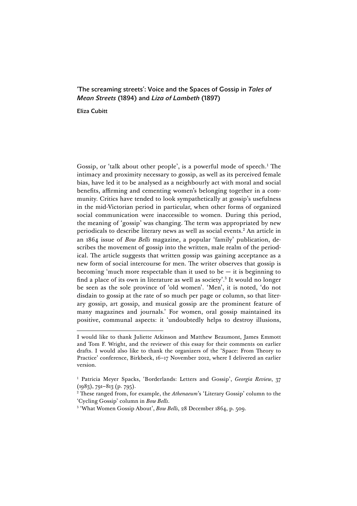# 'The screaming streets': Voice and the Spaces of Gossip in *Tales of Mean Streets* (1894) and *Liza of Lambeth* (1897)

Eliza Cubitt

 $\overline{a}$ 

Gossip, or 'talk about other people', is a powerful mode of speech.<sup>1</sup> The intimacy and proximity necessary to gossip, as well as its perceived female bias, have led it to be analysed as a neighbourly act with moral and social benefits, affirming and cementing women's belonging together in a community. Critics have tended to look sympathetically at gossip's usefulness in the mid-Victorian period in particular, when other forms of organized social communication were inaccessible to women. During this period, the meaning of 'gossip' was changing. The term was appropriated by new periodicals to describe literary news as well as social events.2 An article in an 1864 issue of *Bow Bells* magazine, a popular 'family' publication, describes the movement of gossip into the written, male realm of the periodical. The article suggests that written gossip was gaining acceptance as a new form of social intercourse for men. The writer observes that gossip is becoming 'much more respectable than it used to be  $-$  it is beginning to find a place of its own in literature as well as society'. <sup>3</sup> It would no longer be seen as the sole province of 'old women'. 'Men', it is noted, 'do not disdain to gossip at the rate of so much per page or column, so that literary gossip, art gossip, and musical gossip are the prominent feature of many magazines and journals.' For women, oral gossip maintained its positive, communal aspects: it 'undoubtedly helps to destroy illusions,

I would like to thank Juliette Atkinson and Matthew Beaumont, James Emmott and Tom F. Wright, and the reviewer of this essay for their comments on earlier drafts. I would also like to thank the organizers of the 'Space: From Theory to Practice' conference, Birkbeck, 16–17 November 2012, where I delivered an earlier version.

<sup>&</sup>lt;sup>1</sup> Patricia Meyer Spacks, 'Borderlands: Letters and Gossip', *Georgia Review*, 37  $(1983)$ , 791–813 (p. 795).

<sup>2</sup> These ranged from, for example, the *Athenaeum*'s 'Literary Gossip' column to the 'Cycling Gossip' column in *Bow Bells*.

<sup>3</sup> 'What Women Gossip About', *Bow Bells*, 28 December 1864, p. 509.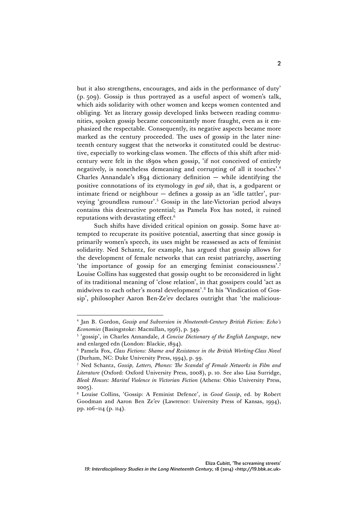but it also strengthens, encourages, and aids in the performance of duty' (p. 509). Gossip is thus portrayed as a useful aspect of women's talk, which aids solidarity with other women and keeps women contented and obliging. Yet as literary gossip developed links between reading communities, spoken gossip became concomitantly more fraught, even as it emphasized the respectable. Consequently, its negative aspects became more marked as the century proceeded. The uses of gossip in the later nineteenth century suggest that the networks it constituted could be destructive, especially to working-class women. The effects of this shift after midcentury were felt in the 1890s when gossip, 'if not conceived of entirely negatively, is nonetheless demeaning and corrupting of all it touches'. 4 Charles Annandale's 1894 dictionary definition — while identifying the positive connotations of its etymology in *god sib*, that is, a godparent or intimate friend or neighbour — defines a gossip as an 'idle tattler', purveying 'groundless rumour'. <sup>5</sup> Gossip in the late-Victorian period always contains this destructive potential; as Pamela Fox has noted, it ruined reputations with devastating effect.6

Such shifts have divided critical opinion on gossip. Some have attempted to recuperate its positive potential, asserting that since gossip is primarily women's speech, its uses might be reassessed as acts of feminist solidarity. Ned Schantz, for example, has argued that gossip allows for the development of female networks that can resist patriarchy, asserting 'the importance of gossip for an emerging feminist consciousness'. 7 Louise Collins has suggested that gossip ought to be reconsidered in light of its traditional meaning of 'close relation', in that gossipers could 'act as midwives to each other's moral development'. <sup>8</sup> In his 'Vindication of Gossip', philosopher Aaron Ben-Ze'ev declares outright that 'the malicious-

<sup>4</sup> Jan B. Gordon, *Gossip and Subversion in Nineteenth-Century British Fiction: Echo's Economies* (Basingstoke: Macmillan, 1996), p. 349.

<sup>5</sup> 'gossip', in Charles Annandale, *A Concise Dictionary of the English Language*, new and enlarged edn (London: Blackie, 1894).

<sup>6</sup> Pamela Fox, *Class Fictions: Shame and Resistance in the British Working-Class Novel*  (Durham, NC: Duke University Press, 1994), p. 99.

<sup>7</sup> Ned Schantz, *Gossip, Letters, Phones: The Scandal of Female Networks in Film and Literature* (Oxford: Oxford University Press, 2008), p. 10. See also Lisa Surridge, *Bleak Houses: Marital Violence in Victorian Fiction* (Athens: Ohio University Press, 2005).

<sup>8</sup> Louise Collins, 'Gossip: A Feminist Defence', in *Good Gossip*, ed. by Robert Goodman and Aaron Ben Ze'ev (Lawrence: University Press of Kansas, 1994), pp. 106–114 (p. 114).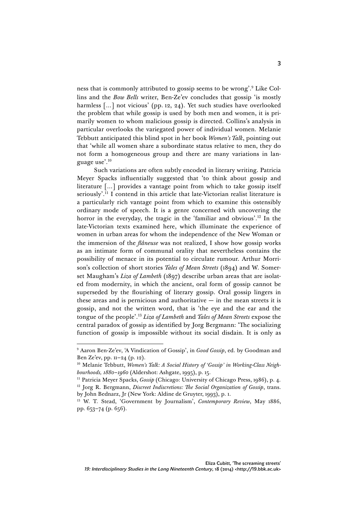ness that is commonly attributed to gossip seems to be wrong'. <sup>9</sup> Like Collins and the *Bow Bells* writer, Ben-Ze'ev concludes that gossip 'is mostly harmless [...] not vicious' (pp. 12, 24). Yet such studies have overlooked the problem that while gossip is used by both men and women, it is primarily women to whom malicious gossip is directed. Collins's analysis in particular overlooks the variegated power of individual women. Melanie Tebbutt anticipated this blind spot in her book *Women's Talk*, pointing out that 'while all women share a subordinate status relative to men, they do not form a homogeneous group and there are many variations in language use'. 10

Such variations are often subtly encoded in literary writing. Patricia Meyer Spacks influentially suggested that 'to think about gossip and literature […] provides a vantage point from which to take gossip itself seriously'. <sup>11</sup> I contend in this article that late-Victorian realist literature is a particularly rich vantage point from which to examine this ostensibly ordinary mode of speech. It is a genre concerned with uncovering the horror in the everyday, the tragic in the 'familiar and obvious'. <sup>12</sup> In the late-Victorian texts examined here, which illuminate the experience of women in urban areas for whom the independence of the New Woman or the immersion of the *flâneuse* was not realized, I show how gossip works as an intimate form of communal orality that nevertheless contains the possibility of menace in its potential to circulate rumour. Arthur Morrison's collection of short stories *Tales of Mean Streets* (1894) and W. Somerset Maugham's *Liza of Lambeth* (1897) describe urban areas that are isolated from modernity, in which the ancient, oral form of gossip cannot be superseded by the flourishing of literary gossip. Oral gossip lingers in these areas and is pernicious and authoritative  $-$  in the mean streets it is gossip, and not the written word, that is 'the eye and the ear and the tongue of the people'. <sup>13</sup> *Liza of Lambeth* and *Tales of Mean Streets* expose the central paradox of gossip as identified by Jorg Bergmann: 'The socializing function of gossip is impossible without its social disdain. It is only as

<sup>9</sup> Aaron Ben-Ze'ev, 'A Vindication of Gossip', in *Good Gossip*, ed. by Goodman and Ben Ze'ev, pp. 11–24 (p. 12).

<sup>&</sup>lt;sup>10</sup> Melanie Tebbutt, *Women's Talk: A Social History of 'Gossip' in Working-Class Neighbourhoods, 1880–1960* (Aldershot: Ashgate, 1995), p. 15.

<sup>&</sup>lt;sup>11</sup> Patricia Meyer Spacks, *Gossip* (Chicago: University of Chicago Press, 1986), p. 4. <sup>12</sup> Jorg R. Bergmann, *Discreet Indiscretions: The Social Organization of Gossip*, trans. by John Bednarz, Jr (New York: Aldine de Gruyter, 1993), p. 1.

<sup>13</sup> W. T. Stead, 'Government by Journalism', *Contemporary Review*, May 1886, pp. 653–74 (p. 656).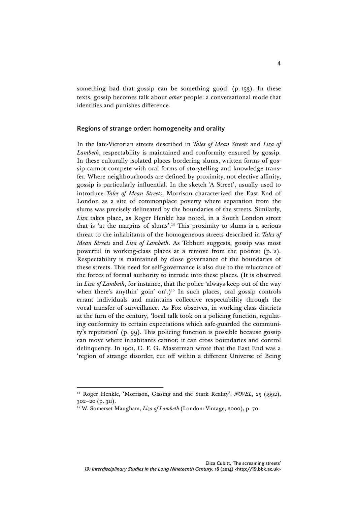something bad that gossip can be something good' (p. 153). In these texts, gossip becomes talk about *other* people: a conversational mode that identifies and punishes difference.

# Regions of strange order: homogeneity and orality

In the late-Victorian streets described in *Tales of Mean Streets* and *Liza of Lambeth*, respectability is maintained and conformity ensured by gossip. In these culturally isolated places bordering slums, written forms of gossip cannot compete with oral forms of storytelling and knowledge transfer. Where neighbourhoods are defined by proximity, not elective affinity, gossip is particularly influential. In the sketch 'A Street', usually used to introduce *Tales of Mean Streets*, Morrison characterized the East End of London as a site of commonplace poverty where separation from the slums was precisely delineated by the boundaries of the streets. Similarly, *Liza* takes place, as Roger Henkle has noted, in a South London street that is 'at the margins of slums'. <sup>14</sup> This proximity to slums is a serious threat to the inhabitants of the homogeneous streets described in *Tales of Mean Streets* and *Liza of Lambeth*. As Tebbutt suggests, gossip was most powerful in working-class places at a remove from the poorest (p. 2). Respectability is maintained by close governance of the boundaries of these streets. This need for self-governance is also due to the reluctance of the forces of formal authority to intrude into these places. (It is observed in *Liza of Lambeth*, for instance, that the police 'always keep out of the way when there's anythin' goin' on'.)<sup>15</sup> In such places, oral gossip controls errant individuals and maintains collective respectability through the vocal transfer of surveillance. As Fox observes, in working-class districts at the turn of the century, 'local talk took on a policing function, regulating conformity to certain expectations which safe-guarded the community's reputation' (p. 99). This policing function is possible because gossip can move where inhabitants cannot; it can cross boundaries and control delinquency. In 1901, C. F. G. Masterman wrote that the East End was a 'region of strange disorder, cut off within a different Universe of Being

<sup>14</sup> Roger Henkle, 'Morrison, Gissing and the Stark Reality', *NOVEL*, 25 (1992), 302–20 (p. 311).

<sup>15</sup> W. Somerset Maugham, *Liza of Lambeth* (London: Vintage, 2000), p. 70.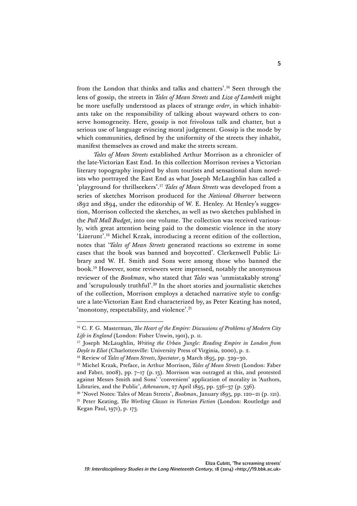from the London that thinks and talks and chatters'. <sup>16</sup> Seen through the lens of gossip, the streets in *Tales of Mean Streets* and *Liza of Lambeth* might be more usefully understood as places of strange *order*, in which inhabitants take on the responsibility of talking about wayward others to conserve homogeneity. Here, gossip is not frivolous talk and chatter, but a serious use of language evincing moral judgement. Gossip is the mode by which communities, defined by the uniformity of the streets they inhabit, manifest themselves as crowd and make the streets scream.

*Tales of Mean Streets* established Arthur Morrison as a chronicler of the late-Victorian East End. In this collection Morrison revises a Victorian literary topography inspired by slum tourists and sensational slum novelists who portrayed the East End as what Joseph McLaughlin has called a 'playground for thrillseekers'. <sup>17</sup> *Tales of Mean Streets* was developed from a series of sketches Morrison produced for the *National Observer* between 1892 and 1894, under the editorship of W. E. Henley. At Henley's suggestion, Morrison collected the sketches, as well as two sketches published in the *Pall Mall Budget*, into one volume. The collection was received variously, with great attention being paid to the domestic violence in the story 'Lizerunt'. <sup>18</sup> Michel Krzak, introducing a recent edition of the collection, notes that '*Tales of Mean Streets* generated reactions so extreme in some cases that the book was banned and boycotted'. Clerkenwell Public Library and W. H. Smith and Sons were among those who banned the book.19 However, some reviewers were impressed, notably the anonymous reviewer of the *Bookman*, who stated that *Tales* was 'unmistakably strong' and 'scrupulously truthful'. <sup>20</sup> In the short stories and journalistic sketches of the collection, Morrison employs a detached narrative style to configure a late-Victorian East End characterized by, as Peter Keating has noted, 'monotony, respectability, and violence'. 21

<sup>16</sup> C. F. G. Masterman, *The Heart of the Empire: Discussions of Problems of Modern City Life in England* (London: Fisher Unwin, 1901), p. 11.

<sup>17</sup> Joseph McLaughlin, *Writing the Urban Jungle: Reading Empire in London from Doyle to Eliot* (Charlottesville: University Press of Virginia, 2000), p. 2.

<sup>18</sup> Review of *Tales of Mean Streets*, *Spectator*, 9 March 1895, pp. 329–30.

<sup>19</sup> Michel Krzak, Preface, in Arthur Morrison, *Tales of Mean Streets* (London: Faber and Faber, 2008), pp.  $7-17$  (p. 13). Morrison was outraged at this, and protested against Messrs Smith and Sons' 'convenient' application of morality in 'Authors, Libraries, and the Public', *Athenaeum*, 27 April 1895, pp. 536–37 (p. 536).

<sup>20</sup> 'Novel Notes: Tales of Mean Streets', *Bookman*, January 1895, pp. 120–21 (p. 121). <sup>21</sup> Peter Keating, *The Working Classes in Victorian Fiction* (London: Routledge and Kegan Paul, 1971), p. 173.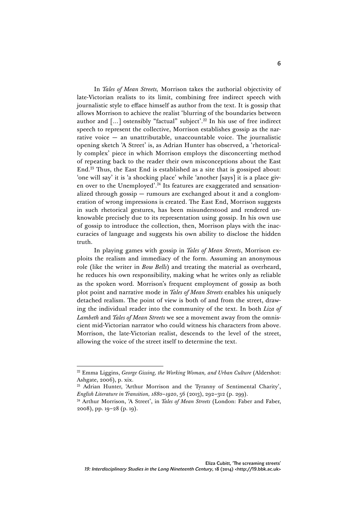In *Tales of Mean Streets,* Morrison takes the authorial objectivity of late-Victorian realists to its limit, combining free indirect speech with journalistic style to efface himself as author from the text. It is gossip that allows Morrison to achieve the realist 'blurring of the boundaries between author and  $\lceil ... \rceil$  ostensibly "factual" subject'.<sup>22</sup> In his use of free indirect speech to represent the collective, Morrison establishes gossip as the narrative voice  $-$  an unattributable, unaccountable voice. The journalistic opening sketch 'A Street' is, as Adrian Hunter has observed, a 'rhetorically complex' piece in which Morrison employs the disconcerting method of repeating back to the reader their own misconceptions about the East End.23 Thus, the East End is established as a site that is gossiped about: 'one will say' it is 'a shocking place' while 'another [says] it is a place given over to the Unemployed'.<sup>24</sup> Its features are exaggerated and sensationalized through gossip — rumours are exchanged about it and a conglomeration of wrong impressions is created. The East End, Morrison suggests in such rhetorical gestures, has been misunderstood and rendered unknowable precisely due to its representation using gossip. In his own use of gossip to introduce the collection, then, Morrison plays with the inaccuracies of language and suggests his own ability to disclose the hidden truth.

In playing games with gossip in *Tales of Mean Streets*, Morrison exploits the realism and immediacy of the form. Assuming an anonymous role (like the writer in *Bow Bells*) and treating the material as overheard, he reduces his own responsibility, making what he writes only as reliable as the spoken word*.* Morrison's frequent employment of gossip as both plot point and narrative mode in *Tales of Mean Streets* enables his uniquely detached realism. The point of view is both of and from the street, drawing the individual reader into the community of the text. In both *Liza of Lambeth* and *Tales of Mean Streets* we see a movement away from the omniscient mid-Victorian narrator who could witness his characters from above. Morrison, the late-Victorian realist, descends to the level of the street, allowing the voice of the street itself to determine the text.

<sup>22</sup> Emma Liggins, *George Gissing, the Working Woman, and Urban Culture* (Aldershot: Ashgate, 2006), p. xix.<br><sup>23</sup> Adrian Hunter, 'Arthur Morrison and the Tyranny of Sentimental Charity',

*English Literature in Transition, 1880–1920*, 56 (2013), 292–312 (p. 299).

<sup>&</sup>lt;sup>24</sup> Arthur Morrison, 'A Street', in *Tales of Mean Streets* (London: Faber and Faber, 2008), pp. 19–28 (p. 19).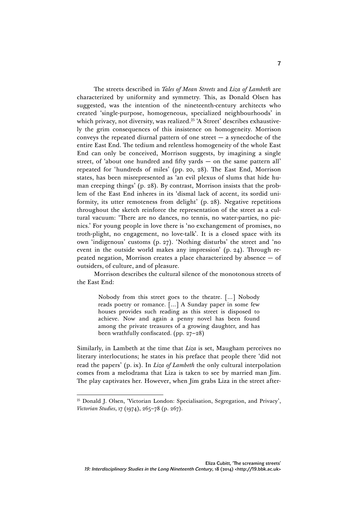The streets described in *Tales of Mean Streets* and *Liza of Lambeth* are characterized by uniformity and symmetry. This, as Donald Olsen has suggested, was the intention of the nineteenth-century architects who created 'single-purpose, homogeneous, specialized neighbourhoods' in which privacy, not diversity, was realized.<sup>25</sup> 'A Street' describes exhaustively the grim consequences of this insistence on homogeneity. Morrison conveys the repeated diurnal pattern of one street  $-$  a synecdoche of the entire East End. The tedium and relentless homogeneity of the whole East End can only be conceived, Morrison suggests, by imagining a single street, of 'about one hundred and fifty yards — on the same pattern all' repeated for 'hundreds of miles' (pp. 20, 28). The East End, Morrison states, has been misrepresented as 'an evil plexus of slums that hide human creeping things' (p. 28). By contrast, Morrison insists that the problem of the East End inheres in its 'dismal lack of accent, its sordid uniformity, its utter remoteness from delight' (p. 28). Negative repetitions throughout the sketch reinforce the representation of the street as a cultural vacuum: 'There are no dances, no tennis, no water-parties, no picnics.' For young people in love there is 'no exchangement of promises, no troth-plight, no engagement, no love-talk'. It is a closed space with its own 'indigenous' customs (p. 27). 'Nothing disturbs' the street and 'no event in the outside world makes any impression' (p. 24). Through repeated negation, Morrison creates a place characterized by absence — of outsiders, of culture, and of pleasure.

Morrison describes the cultural silence of the monotonous streets of the East End:

> Nobody from this street goes to the theatre. […] Nobody reads poetry or romance. […] A Sunday paper in some few houses provides such reading as this street is disposed to achieve. Now and again a penny novel has been found among the private treasures of a growing daughter, and has been wrathfully confiscated. (pp. 27–28)

Similarly, in Lambeth at the time that *Liza* is set, Maugham perceives no literary interlocutions; he states in his preface that people there 'did not read the papers' (p. ix). In *Liza of Lambeth* the only cultural interpolation comes from a melodrama that Liza is taken to see by married man Jim. The play captivates her. However, when Jim grabs Liza in the street after-

 $25$  Donald J. Olsen, 'Victorian London: Specialisation, Segregation, and Privacy', *Victorian Studies*, 17 (1974), 265–78 (p. 267).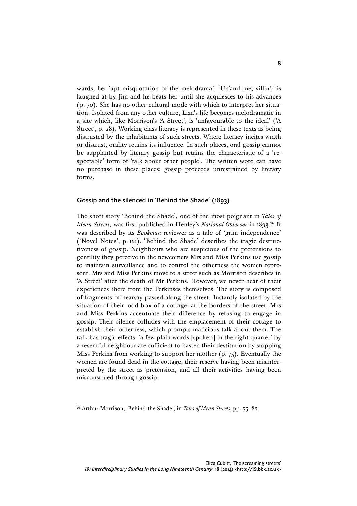wards, her 'apt misquotation of the melodrama', 'Un'and me, villin!' is laughed at by Jim and he beats her until she acquiesces to his advances (p. 70). She has no other cultural mode with which to interpret her situation. Isolated from any other culture, Liza's life becomes melodramatic in a site which, like Morrison's 'A Street', is 'unfavourable to the ideal' ('A Street', p. 28). Working-class literacy is represented in these texts as being distrusted by the inhabitants of such streets. Where literacy incites wrath or distrust, orality retains its influence. In such places, oral gossip cannot be supplanted by literary gossip but retains the characteristic of a 'respectable' form of 'talk about other people'. The written word can have no purchase in these places: gossip proceeds unrestrained by literary forms.

#### Gossip and the silenced in 'Behind the Shade' (1893)

The short story 'Behind the Shade', one of the most poignant in *Tales of Mean Streets*, was first published in Henley's *National Observer* in 1893. <sup>26</sup> It was described by its *Bookman* reviewer as a tale of 'grim independence' ('Novel Notes', p. 121). 'Behind the Shade' describes the tragic destructiveness of gossip. Neighbours who are suspicious of the pretensions to gentility they perceive in the newcomers Mrs and Miss Perkins use gossip to maintain surveillance and to control the otherness the women represent. Mrs and Miss Perkins move to a street such as Morrison describes in 'A Street' after the death of Mr Perkins. However, we never hear of their experiences there from the Perkinses themselves. The story is composed of fragments of hearsay passed along the street. Instantly isolated by the situation of their 'odd box of a cottage' at the borders of the street, Mrs and Miss Perkins accentuate their difference by refusing to engage in gossip. Their silence colludes with the emplacement of their cottage to establish their otherness, which prompts malicious talk about them. The talk has tragic effects: 'a few plain words [spoken] in the right quarter' by a resentful neighbour are sufficient to hasten their destitution by stopping Miss Perkins from working to support her mother (p. 75). Eventually the women are found dead in the cottage, their reserve having been misinterpreted by the street as pretension, and all their activities having been misconstrued through gossip.

<sup>26</sup> Arthur Morrison, 'Behind the Shade', in *Tales of Mean Streets*, pp. 75–82.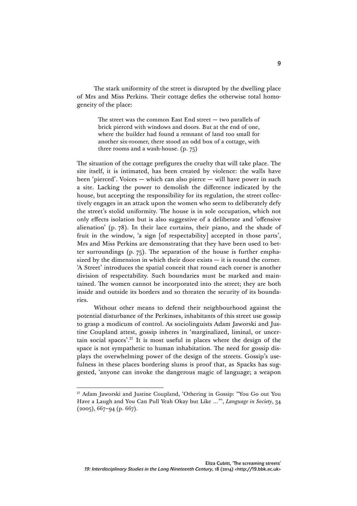The stark uniformity of the street is disrupted by the dwelling place of Mrs and Miss Perkins. Their cottage defies the otherwise total homogeneity of the place:

> The street was the common East End street — two parallels of brick pierced with windows and doors. But at the end of one, where the builder had found a remnant of land too small for another six-roomer, there stood an odd box of a cottage, with three rooms and a wash-house. (p. 75)

The situation of the cottage prefigures the cruelty that will take place. The site itself, it is intimated, has been created by violence: the walls have been 'pierced'. Voices — which can also pierce — will have power in such a site. Lacking the power to demolish the difference indicated by the house, but accepting the responsibility for its regulation, the street collectively engages in an attack upon the women who seem to deliberately defy the street's stolid uniformity. The house is in sole occupation, which not only effects isolation but is also suggestive of a deliberate and 'offensive alienation' (p. 78). In their lace curtains, their piano, and the shade of fruit in the window, 'a sign [of respectability] accepted in those parts', Mrs and Miss Perkins are demonstrating that they have been used to better surroundings (p. 75). The separation of the house is further emphasized by the dimension in which their door exists — it is round the corner. 'A Street' introduces the spatial conceit that round each corner is another division of respectability. Such boundaries must be marked and maintained. The women cannot be incorporated into the street; they are both inside and outside its borders and so threaten the security of its boundaries.

Without other means to defend their neighbourhood against the potential disturbance of the Perkinses, inhabitants of this street use gossip to grasp a modicum of control. As sociolinguists Adam Jaworski and Justine Coupland attest, gossip inheres in 'marginalized, liminal, or uncertain social spaces'. <sup>27</sup> It is most useful in places where the design of the space is not sympathetic to human inhabitation. The need for gossip displays the overwhelming power of the design of the streets. Gossip's usefulness in these places bordering slums is proof that, as Spacks has suggested, 'anyone can invoke the dangerous magic of language; a weapon

<sup>27</sup> Adam Jaworski and Justine Coupland, 'Othering in Gossip: "You Go out You Have a Laugh and You Can Pull Yeah Okay but Like …"', *Language in Society*, 34  $(2005)$ , 667–94 (p. 667).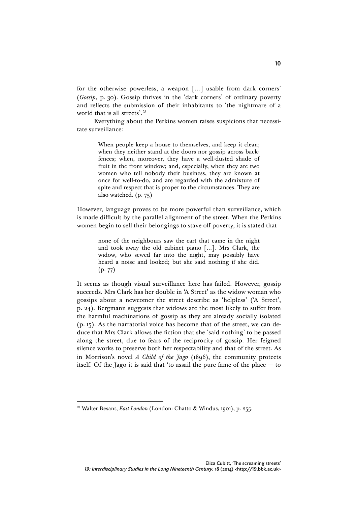for the otherwise powerless, a weapon […] usable from dark corners' (*Gossip*, p. 30). Gossip thrives in the 'dark corners' of ordinary poverty and reflects the submission of their inhabitants to 'the nightmare of a world that is all streets'. 28

Everything about the Perkins women raises suspicions that necessitate surveillance:

> When people keep a house to themselves, and keep it clean; when they neither stand at the doors nor gossip across backfences; when, moreover, they have a well-dusted shade of fruit in the front window; and, especially, when they are two women who tell nobody their business, they are known at once for well-to-do, and are regarded with the admixture of spite and respect that is proper to the circumstances. They are also watched. (p. 75)

However, language proves to be more powerful than surveillance, which is made difficult by the parallel alignment of the street. When the Perkins women begin to sell their belongings to stave off poverty, it is stated that

> none of the neighbours saw the cart that came in the night and took away the old cabinet piano […]. Mrs Clark, the widow, who sewed far into the night, may possibly have heard a noise and looked; but she said nothing if she did. (p. 77)

It seems as though visual surveillance here has failed. However, gossip succeeds. Mrs Clark has her double in 'A Street' as the widow woman who gossips about a newcomer the street describe as 'helpless' ('A Street', p. 24). Bergmann suggests that widows are the most likely to suffer from the harmful machinations of gossip as they are already socially isolated (p. 15). As the narratorial voice has become that of the street, we can deduce that Mrs Clark allows the fiction that she 'said nothing' to be passed along the street, due to fears of the reciprocity of gossip. Her feigned silence works to preserve both her respectability and that of the street. As in Morrison's novel *A Child of the Jago* (1896), the community protects itself. Of the Jago it is said that 'to assail the pure fame of the place — to

<sup>28</sup> Walter Besant, *East London* (London: Chatto & Windus, 1901), p. 255.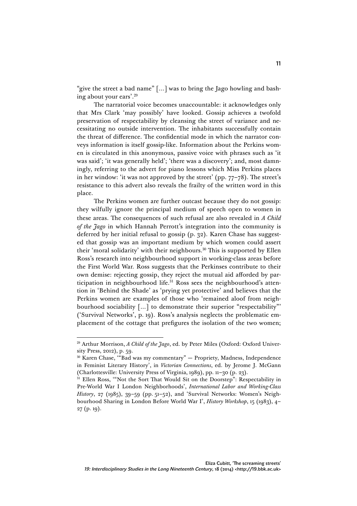"give the street a bad name" […] was to bring the Jago howling and bashing about your ears'. 29

The narratorial voice becomes unaccountable: it acknowledges only that Mrs Clark 'may possibly' have looked. Gossip achieves a twofold preservation of respectability by cleansing the street of variance and necessitating no outside intervention. The inhabitants successfully contain the threat of difference. The confidential mode in which the narrator conveys information is itself gossip-like. Information about the Perkins women is circulated in this anonymous, passive voice with phrases such as 'it was said'; 'it was generally held'; 'there was a discovery'; and, most damningly, referring to the advert for piano lessons which Miss Perkins places in her window: 'it was not approved by the street' (pp. 77–78). The street's resistance to this advert also reveals the frailty of the written word in this place.

The Perkins women are further outcast because they do not gossip: they wilfully ignore the principal medium of speech open to women in these areas. The consequences of such refusal are also revealed in *A Child of the Jago* in which Hannah Perrott's integration into the community is deferred by her initial refusal to gossip (p. 32). Karen Chase has suggested that gossip was an important medium by which women could assert their 'moral solidarity' with their neighbours.<sup>30</sup> This is supported by Ellen Ross's research into neighbourhood support in working-class areas before the First World War. Ross suggests that the Perkinses contribute to their own demise: rejecting gossip, they reject the mutual aid afforded by participation in neighbourhood life.<sup>31</sup> Ross sees the neighbourhood's attention in 'Behind the Shade' as 'prying yet protective' and believes that the Perkins women are examples of those who 'remained aloof from neighbourhood sociability […] to demonstrate their superior "respectability"' ('Survival Networks', p. 19). Ross's analysis neglects the problematic emplacement of the cottage that prefigures the isolation of the two women;

<sup>&</sup>lt;sup>29</sup> Arthur Morrison, *A Child of the Jago*, ed. by Peter Miles (Oxford: Oxford University Press, 2012), p. 59.

<sup>30</sup> Karen Chase, '"Bad was my commentary" — Propriety, Madness, Independence in Feminist Literary History', in *Victorian Connections*, ed. by Jerome J. McGann (Charlottesville: University Press of Virginia, 1989), pp. 11–30 (p. 23). 31 Ellen Ross, '"Not the Sort That Would Sit on the Doorstep": Respectability in

Pre-World War I London Neighborhoods', *International Labor and Working-Class History*, 27 (1985), 39–59 (pp. 51–52), and 'Survival Networks: Women's Neighbourhood Sharing in London Before World War I', *History Workshop*, 15 (1983), 4– 27 (p. 19).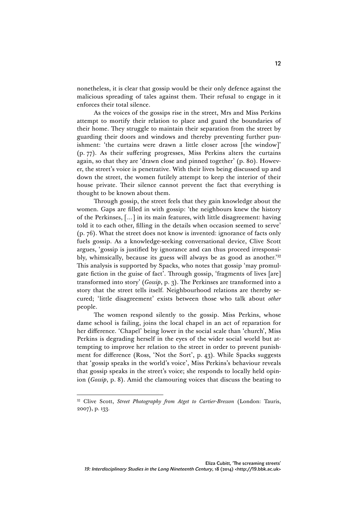nonetheless, it is clear that gossip would be their only defence against the malicious spreading of tales against them. Their refusal to engage in it enforces their total silence.

As the voices of the gossips rise in the street, Mrs and Miss Perkins attempt to mortify their relation to place and guard the boundaries of their home. They struggle to maintain their separation from the street by guarding their doors and windows and thereby preventing further punishment: 'the curtains were drawn a little closer across [the window]' (p. 77). As their suffering progresses, Miss Perkins alters the curtains again, so that they are 'drawn close and pinned together' (p. 80). However, the street's voice is penetrative. With their lives being discussed up and down the street, the women futilely attempt to keep the interior of their house private. Their silence cannot prevent the fact that everything is thought to be known about them.

Through gossip, the street feels that they gain knowledge about the women. Gaps are filled in with gossip: 'the neighbours knew the history of the Perkinses, […] in its main features, with little disagreement: having told it to each other, filling in the details when occasion seemed to serve' (p. 76). What the street does not know is invented: ignorance of facts only fuels gossip. As a knowledge-seeking conversational device, Clive Scott argues, 'gossip is justified by ignorance and can thus proceed irresponsibly, whimsically, because its guess will always be as good as another.' 32 This analysis is supported by Spacks, who notes that gossip 'may promulgate fiction in the guise of fact'. Through gossip, 'fragments of lives [are] transformed into story' (*Gossip*, p. 3). The Perkinses are transformed into a story that the street tells itself. Neighbourhood relations are thereby secured; 'little disagreement' exists between those who talk about *other* people.

The women respond silently to the gossip. Miss Perkins, whose dame school is failing, joins the local chapel in an act of reparation for her difference. 'Chapel' being lower in the social scale than 'church', Miss Perkins is degrading herself in the eyes of the wider social world but attempting to improve her relation to the street in order to prevent punishment for difference (Ross, 'Not the Sort', p. 43). While Spacks suggests that 'gossip speaks in the world's voice', Miss Perkins's behaviour reveals that gossip speaks in the street's voice; she responds to locally held opinion (*Gossip*, p. 8). Amid the clamouring voices that discuss the beating to

<sup>32</sup> Clive Scott, *Street Photography from Atget to Cartier-Bresson* (London: Tauris, 2007), p. 133.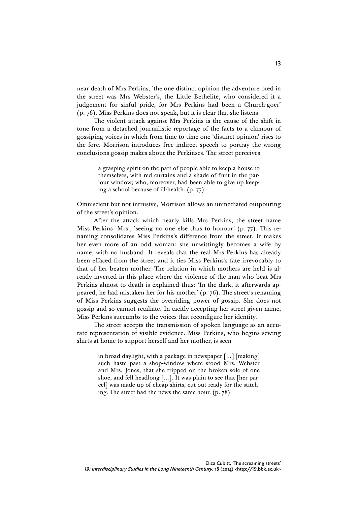near death of Mrs Perkins, 'the one distinct opinion the adventure bred in the street was Mrs Webster's, the Little Bethelite, who considered it a judgement for sinful pride, for Mrs Perkins had been a Church-goer' (p. 76). Miss Perkins does not speak, but it is clear that she listens.

The violent attack against Mrs Perkins is the cause of the shift in tone from a detached journalistic reportage of the facts to a clamour of gossiping voices in which from time to time one 'distinct opinion' rises to the fore. Morrison introduces free indirect speech to portray the wrong conclusions gossip makes about the Perkinses. The street perceives

> a grasping spirit on the part of people able to keep a house to themselves, with red curtains and a shade of fruit in the parlour window; who, moreover, had been able to give up keeping a school because of ill-health. (p. 77)

Omniscient but not intrusive, Morrison allows an unmediated outpouring of the street's opinion.

After the attack which nearly kills Mrs Perkins, the street name Miss Perkins 'Mrs', 'seeing no one else thus to honour' (p. 77). This renaming consolidates Miss Perkins's difference from the street. It makes her even more of an odd woman: she unwittingly becomes a wife by name, with no husband. It reveals that the real Mrs Perkins has already been effaced from the street and it ties Miss Perkins's fate irrevocably to that of her beaten mother. The relation in which mothers are held is already inverted in this place where the violence of the man who beat Mrs Perkins almost to death is explained thus: 'In the dark, it afterwards appeared, he had mistaken her for his mother' (p. 76). The street's renaming of Miss Perkins suggests the overriding power of gossip. She does not gossip and so cannot retaliate. In tacitly accepting her street-given name, Miss Perkins succumbs to the voices that reconfigure her identity.

The street accepts the transmission of spoken language as an accurate representation of visible evidence. Miss Perkins, who begins sewing shirts at home to support herself and her mother, is seen

> in broad daylight, with a package in newspaper […] [making] such haste past a shop-window where stood Mrs. Webster and Mrs. Jones, that she tripped on the broken sole of one shoe, and fell headlong […]. It was plain to see that [her parcel] was made up of cheap shirts, cut out ready for the stitching. The street had the news the same hour. (p. 78)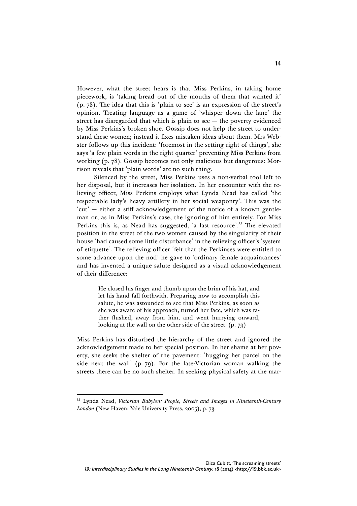However, what the street hears is that Miss Perkins, in taking home piecework, is 'taking bread out of the mouths of them that wanted it' (p. 78). The idea that this is 'plain to see' is an expression of the street's opinion. Treating language as a game of 'whisper down the lane' the street has disregarded that which is plain to see — the poverty evidenced by Miss Perkins's broken shoe. Gossip does not help the street to understand these women; instead it fixes mistaken ideas about them. Mrs Webster follows up this incident: 'foremost in the setting right of things', she says 'a few plain words in the right quarter' preventing Miss Perkins from working (p. 78). Gossip becomes not only malicious but dangerous: Morrison reveals that 'plain words' are no such thing.

Silenced by the street, Miss Perkins uses a non-verbal tool left to her disposal, but it increases her isolation. In her encounter with the relieving officer, Miss Perkins employs what Lynda Nead has called 'the respectable lady's heavy artillery in her social weaponry'. This was the 'cut' — either a stiff acknowledgement of the notice of a known gentleman or, as in Miss Perkins's case, the ignoring of him entirely. For Miss Perkins this is, as Nead has suggested, 'a last resource'.<sup>33</sup> The elevated position in the street of the two women caused by the singularity of their house 'had caused some little disturbance' in the relieving officer's 'system of etiquette'. The relieving officer 'felt that the Perkinses were entitled to some advance upon the nod' he gave to 'ordinary female acquaintances' and has invented a unique salute designed as a visual acknowledgement of their difference:

> He closed his finger and thumb upon the brim of his hat, and let his hand fall forthwith. Preparing now to accomplish this salute, he was astounded to see that Miss Perkins, as soon as she was aware of his approach, turned her face, which was rather flushed, away from him, and went hurrying onward, looking at the wall on the other side of the street. (p. 79)

Miss Perkins has disturbed the hierarchy of the street and ignored the acknowledgement made to her special position. In her shame at her poverty, she seeks the shelter of the pavement: 'hugging her parcel on the side next the wall' (p. 79). For the late-Victorian woman walking the streets there can be no such shelter. In seeking physical safety at the mar-

<sup>33</sup> Lynda Nead, *Victorian Babylon: People, Streets and Images in Nineteenth-Century London* (New Haven: Yale University Press, 2005), p. 73.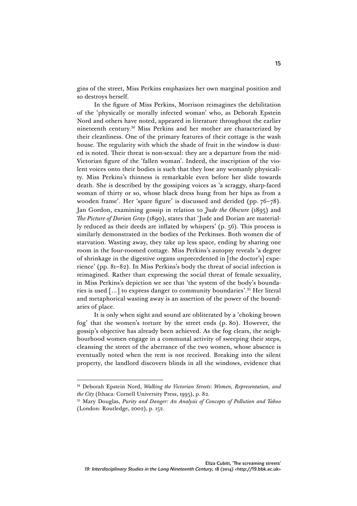gins of the street, Miss Perkins emphasizes her own marginal position and so destroys herself.

In the figure of Miss Perkins, Morrison reimagines the debilitation of the 'physically or morally infected woman' who, as Deborah Epstein Nord and others have noted, appeared in literature throughout the earlier nineteenth century.34 Miss Perkins and her mother are characterized by their cleanliness. One of the primary features of their cottage is the wash house. The regularity with which the shade of fruit in the window is dusted is noted. Their threat is non-sexual: they are a departure from the mid-Victorian figure of the 'fallen woman'. Indeed, the inscription of the violent voices onto their bodies is such that they lose any womanly physicality. Miss Perkins's thinness is remarkable even before her slide towards death. She is described by the gossiping voices as 'a scraggy, sharp-faced woman of thirty or so, whose black dress hung from her hips as from a wooden frame'. Her 'spare figure' is discussed and derided (pp. 76–78). Jan Gordon, examining gossip in relation to *Jude the Obscure* (1895) and *The Picture of Dorian Gray* (1890), states that 'Jude and Dorian are materially reduced as their deeds are inflated by whispers' (p. 56). This process is similarly demonstrated in the bodies of the Perkinses. Both women die of starvation. Wasting away, they take up less space, ending by sharing one room in the four-roomed cottage. Miss Perkins's autopsy reveals 'a degree of shrinkage in the digestive organs unprecedented in [the doctor's] experience' (pp. 81–82). In Miss Perkins's body the threat of social infection is reimagined. Rather than expressing the social threat of female sexuality, in Miss Perkins's depiction we see that 'the system of the body's boundaries is used […] to express danger to community boundaries'. <sup>35</sup> Her literal and metaphorical wasting away is an assertion of the power of the boundaries of place.

It is only when sight and sound are obliterated by a 'choking brown fog' that the women's torture by the street ends (p. 80). However, the gossip's objective has already been achieved. As the fog clears, the neighbourhood women engage in a communal activity of sweeping their steps, cleansing the street of the aberrance of the two women, whose absence is eventually noted when the rent is not received. Breaking into the silent property, the landlord discovers blinds in all the windows, evidence that

<sup>34</sup> Deborah Epstein Nord, *Walking the Victorian Streets: Women, Representation, and the City* (Ithaca: Cornell University Press, 1995), p. 82.

<sup>35</sup> Mary Douglas, *Purity and Danger: An Analysis of Concepts of Pollution and Taboo*  (London: Routledge, 2002), p. 152.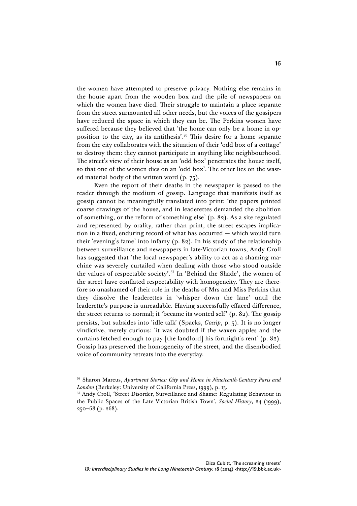the women have attempted to preserve privacy. Nothing else remains in the house apart from the wooden box and the pile of newspapers on which the women have died. Their struggle to maintain a place separate from the street surmounted all other needs, but the voices of the gossipers have reduced the space in which they can be. The Perkins women have suffered because they believed that 'the home can only be a home in opposition to the city, as its antithesis'. <sup>36</sup> This desire for a home separate from the city collaborates with the situation of their 'odd box of a cottage' to destroy them: they cannot participate in anything like neighbourhood. The street's view of their house as an 'odd box' penetrates the house itself, so that one of the women dies on an 'odd box'. The other lies on the wasted material body of the written word (p. 75).

Even the report of their deaths in the newspaper is passed to the reader through the medium of gossip. Language that manifests itself as gossip cannot be meaningfully translated into print: 'the papers printed coarse drawings of the house, and in leaderettes demanded the abolition of something, or the reform of something else' (p. 82). As a site regulated and represented by orality, rather than print, the street escapes implication in a fixed, enduring record of what has occurred — which would turn their 'evening's fame' into infamy (p. 82). In his study of the relationship between surveillance and newspapers in late-Victorian towns, Andy Croll has suggested that 'the local newspaper's ability to act as a shaming machine was severely curtailed when dealing with those who stood outside the values of respectable society'. <sup>37</sup> In 'Behind the Shade', the women of the street have conflated respectability with homogeneity. They are therefore so unashamed of their role in the deaths of Mrs and Miss Perkins that they dissolve the leaderettes in 'whisper down the lane' until the leaderette's purpose is unreadable. Having successfully effaced difference, the street returns to normal; it 'became its wonted self' (p. 82). The gossip persists, but subsides into 'idle talk' (Spacks, *Gossip*, p. 5). It is no longer vindictive, merely curious: 'it was doubted if the waxen apples and the curtains fetched enough to pay [the landlord] his fortnight's rent' (p. 82). Gossip has preserved the homogeneity of the street, and the disembodied voice of community retreats into the everyday.

<sup>36</sup> Sharon Marcus, *Apartment Stories: City and Home in Nineteenth-Century Paris and London* (Berkeley: University of California Press, 1999), p. 13.

<sup>&</sup>lt;sup>37</sup> Andy Croll, 'Street Disorder, Surveillance and Shame: Regulating Behaviour in the Public Spaces of the Late Victorian British Town', *Social History*, 24 (1999), 250–68 (p. 268).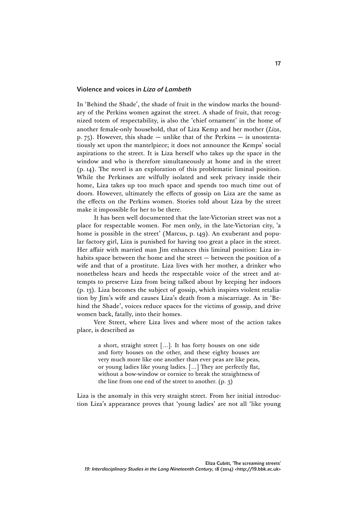### Violence and voices in *Liza of Lambeth*

In 'Behind the Shade', the shade of fruit in the window marks the boundary of the Perkins women against the street. A shade of fruit, that recognized totem of respectability, is also the 'chief ornament' in the home of another female-only household, that of Liza Kemp and her mother (*Liza*, p. 75). However, this shade — unlike that of the Perkins — is unostentatiously set upon the mantelpiece; it does not announce the Kemps' social aspirations to the street. It is Liza herself who takes up the space in the window and who is therefore simultaneously at home and in the street (p. 14). The novel is an exploration of this problematic liminal position. While the Perkinses are wilfully isolated and seek privacy inside their home, Liza takes up too much space and spends too much time out of doors. However, ultimately the effects of gossip on Liza are the same as the effects on the Perkins women. Stories told about Liza by the street make it impossible for her to be there.

It has been well documented that the late-Victorian street was not a place for respectable women. For men only, in the late-Victorian city, 'a home is possible in the street' (Marcus, p. 149). An exuberant and popular factory girl, Liza is punished for having too great a place in the street. Her affair with married man Jim enhances this liminal position: Liza inhabits space between the home and the street — between the position of a wife and that of a prostitute. Liza lives with her mother, a drinker who nonetheless hears and heeds the respectable voice of the street and attempts to preserve Liza from being talked about by keeping her indoors (p. 13). Liza becomes the subject of gossip, which inspires violent retaliation by Jim's wife and causes Liza's death from a miscarriage. As in 'Behind the Shade', voices reduce spaces for the victims of gossip, and drive women back, fatally, into their homes.

Vere Street, where Liza lives and where most of the action takes place, is described as

> a short, straight street […]. It has forty houses on one side and forty houses on the other, and these eighty houses are very much more like one another than ever peas are like peas, or young ladies like young ladies. […] They are perfectly flat, without a bow-window or cornice to break the straightness of the line from one end of the street to another. (p. 3)

Liza is the anomaly in this very straight street. From her initial introduction Liza's appearance proves that 'young ladies' are not all 'like young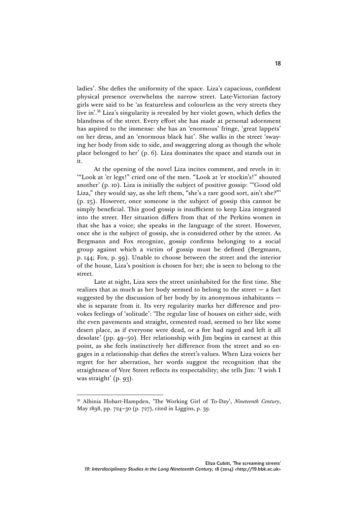ladies'. She defies the uniformity of the space. Liza's capacious, confident physical presence overwhelms the narrow street. Late-Victorian factory girls were said to be 'as featureless and colourless as the very streets they live in'. <sup>38</sup> Liza's singularity is revealed by her violet gown, which defies the blandness of the street. Every effort she has made at personal adornment has aspired to the immense: she has an 'enormous' fringe, 'great lappets' on her dress, and an 'enormous black hat'. She walks in the street 'swaying her body from side to side, and swaggering along as though the whole place belonged to her' (p. 6). Liza dominates the space and stands out in it.

At the opening of the novel Liza incites comment, and revels in it: '"Look at 'er legs!" cried one of the men. "Look at 'er stockin's!" shouted another' (p. 10). Liza is initially the subject of positive gossip: '"Good old Liza," they would say, as she left them, "she's a rare good sort, ain't she?"' (p. 25). However, once someone is the subject of gossip this cannot be simply beneficial. This good gossip is insufficient to keep Liza integrated into the street. Her situation differs from that of the Perkins women in that she has a voice; she speaks in the language of the street. However, once she is the subject of gossip, she is considered other by the street. As Bergmann and Fox recognize, gossip confirms belonging to a social group against which a victim of gossip must be defined (Bergmann, p. 144; Fox, p. 99). Unable to choose between the street and the interior of the house, Liza's position is chosen for her; she is seen to belong to the street.

Late at night, Liza sees the street uninhabited for the first time. She realizes that as much as her body seemed to belong to the street  $-$  a fact suggested by the discussion of her body by its anonymous inhabitants she is separate from it. Its very regularity marks her difference and provokes feelings of 'solitude': 'The regular line of houses on either side, with the even pavements and straight, cemented road, seemed to her like some desert place, as if everyone were dead, or a fire had raged and left it all desolate' (pp. 49–50). Her relationship with Jim begins in earnest at this point, as she feels instinctively her difference from the street and so engages in a relationship that defies the street's values. When Liza voices her regret for her aberration, her words suggest the recognition that the straightness of Vere Street reflects its respectability; she tells Jim: 'I wish I was straight' (p. 93).

<sup>38</sup> Albinia Hobart-Hampden, 'The Working Girl of To-Day', *Nineteenth Century*, May 1898, pp. 724–30 (p. 727), cited in Liggins, p. 39.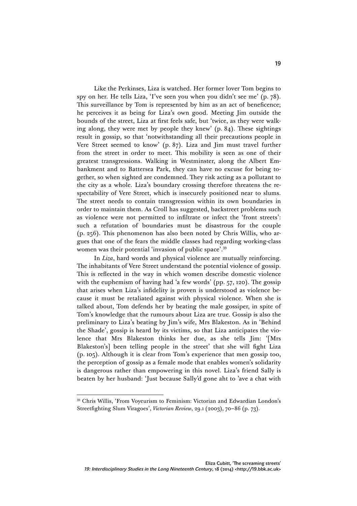Like the Perkinses, Liza is watched. Her former lover Tom begins to spy on her. He tells Liza, 'I've seen you when you didn't see me' (p. 78). This surveillance by Tom is represented by him as an act of beneficence; he perceives it as being for Liza's own good. Meeting Jim outside the bounds of the street, Liza at first feels safe, but 'twice, as they were walking along, they were met by people they knew' (p. 84). These sightings result in gossip, so that 'notwithstanding all their precautions people in Vere Street seemed to know' (p. 87). Liza and Jim must travel further from the street in order to meet. This mobility is seen as one of their greatest transgressions. Walking in Westminster, along the Albert Embankment and to Battersea Park, they can have no excuse for being together, so when sighted are condemned. They risk acting as a pollutant to the city as a whole. Liza's boundary crossing therefore threatens the respectability of Vere Street, which is insecurely positioned near to slums. The street needs to contain transgression within its own boundaries in order to maintain them. As Croll has suggested, backstreet problems such as violence were not permitted to infiltrate or infect the 'front streets': such a refutation of boundaries must be disastrous for the couple (p. 256). This phenomenon has also been noted by Chris Willis, who argues that one of the fears the middle classes had regarding working-class women was their potential 'invasion of public space'. 39

In *Liza*, hard words and physical violence are mutually reinforcing. The inhabitants of Vere Street understand the potential violence of gossip. This is reflected in the way in which women describe domestic violence with the euphemism of having had 'a few words' (pp. 57, 120). The gossip that arises when Liza's infidelity is proven is understood as violence because it must be retaliated against with physical violence. When she is talked about, Tom defends her by beating the male gossiper, in spite of Tom's knowledge that the rumours about Liza are true. Gossip is also the preliminary to Liza's beating by Jim's wife, Mrs Blakeston. As in 'Behind the Shade', gossip is heard by its victims, so that Liza anticipates the violence that Mrs Blakeston thinks her due, as she tells Jim: '[Mrs Blakeston's] been telling people in the street' that she will fight Liza (p. 105). Although it is clear from Tom's experience that men gossip too, the perception of gossip as a female mode that enables women's solidarity is dangerous rather than empowering in this novel. Liza's friend Sally is beaten by her husband: 'Just because Sally'd gone aht to 'ave a chat with

<sup>39</sup> Chris Willis, 'From Voyeurism to Feminism: Victorian and Edwardian London's Streetfighting Slum Viragoes', *Victorian Review*, 29.1 (2003), 70–86 (p. 73).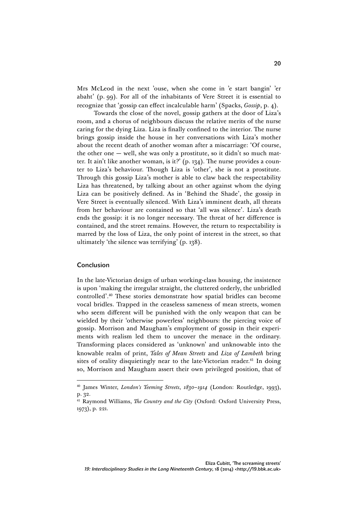Mrs McLeod in the next 'ouse, when she come in 'e start bangin' 'er abaht' (p. 99). For all of the inhabitants of Vere Street it is essential to recognize that 'gossip can effect incalculable harm' (Spacks, *Gossip*, p. 4).

Towards the close of the novel, gossip gathers at the door of Liza's room, and a chorus of neighbours discuss the relative merits of the nurse caring for the dying Liza. Liza is finally confined to the interior. The nurse brings gossip inside the house in her conversations with Liza's mother about the recent death of another woman after a miscarriage: 'Of course, the other one  $-$  well, she was only a prostitute, so it didn't so much matter. It ain't like another woman, is it?' (p. 134). The nurse provides a counter to Liza's behaviour. Though Liza is 'other', she is not a prostitute. Through this gossip Liza's mother is able to claw back the respectability Liza has threatened, by talking about an other against whom the dying Liza can be positively defined. As in 'Behind the Shade', the gossip in Vere Street is eventually silenced. With Liza's imminent death, all threats from her behaviour are contained so that 'all was silence'. Liza's death ends the gossip: it is no longer necessary. The threat of her difference is contained, and the street remains. However, the return to respectability is marred by the loss of Liza, the only point of interest in the street, so that ultimately 'the silence was terrifying' (p. 138).

## Conclusion

 $\overline{a}$ 

In the late-Victorian design of urban working-class housing, the insistence is upon 'making the irregular straight, the cluttered orderly, the unbridled controlled'. <sup>40</sup> These stories demonstrate how spatial bridles can become vocal bridles. Trapped in the ceaseless sameness of mean streets, women who seem different will be punished with the only weapon that can be wielded by their 'otherwise powerless' neighbours: the piercing voice of gossip. Morrison and Maugham's employment of gossip in their experiments with realism led them to uncover the menace in the ordinary. Transforming places considered as 'unknown' and unknowable into the knowable realm of print, *Tales of Mean Streets* and *Liza of Lambeth* bring sites of orality disquietingly near to the late-Victorian reader.<sup>41</sup> In doing so, Morrison and Maugham assert their own privileged position, that of

<sup>40</sup> James Winter, *London's Teeming Streets*, *1830–1914* (London: Routledge, 1993), p. 32.

<sup>41</sup> Raymond Williams, *The Country and the City* (Oxford: Oxford University Press, 1973), p. 221.